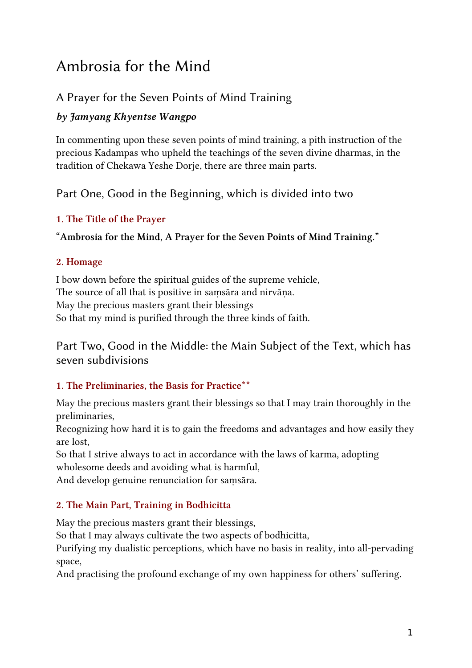# Ambrosia for the Mind

# A Prayer for the Seven Points of Mind Training

# by Jamyang Khyentse Wangpo

In commenting upon these seven points of mind training, a pith instruction of the precious Kadampas who upheld the teachings of the seven divine dharmas, in the tradition of Chekawa Yeshe Dorje, there are three main parts.

Part One, Good in the Beginning, which is divided into two

# 1. The Title of the Prayer

"Ambrosia for the Mind, A Prayer for the Seven Points of Mind Training."

# 2. Homage

I bow down before the spiritual guides of the supreme vehicle, The source of all that is positive in samsāra and nirvāna. May the precious masters grant their blessings So that my mind is purified through the three kinds of faith.

Part Two, Good in the Middle: the Main Subject of the Text, which has seven subdivisions

# 1. The Preliminaries, the Basis for Practice\*\*

May the precious masters grant their blessings so that I may train thoroughly in the preliminaries,

Recognizing how hard it is to gain the freedoms and advantages and how easily they are lost,

So that I strive always to act in accordance with the laws of karma, adopting wholesome deeds and avoiding what is harmful,

And develop genuine renunciation for samsāra.

# 2. The Main Part, Training in Bodhicitta

May the precious masters grant their blessings,

So that I may always cultivate the two aspects of bodhicitta,

Purifying my dualistic perceptions, which have no basis in reality, into all-pervading space,

And practising the profound exchange of my own happiness for others' suffering.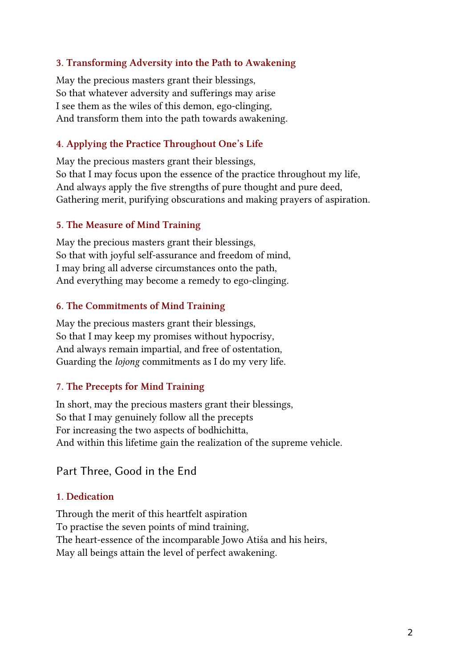#### 3. Transforming Adversity into the Path to Awakening

May the precious masters grant their blessings, So that whatever adversity and sufferings may arise I see them as the wiles of this demon, ego-clinging, And transform them into the path towards awakening.

#### 4. Applying the Practice Throughout One's Life

May the precious masters grant their blessings, So that I may focus upon the essence of the practice throughout my life, And always apply the five strengths of pure thought and pure deed, Gathering merit, purifying obscurations and making prayers of aspiration.

#### 5. The Measure of Mind Training

May the precious masters grant their blessings, So that with joyful self-assurance and freedom of mind, I may bring all adverse circumstances onto the path, And everything may become a remedy to ego-clinging.

#### 6. The Commitments of Mind Training

May the precious masters grant their blessings, So that I may keep my promises without hypocrisy, And always remain impartial, and free of ostentation, Guarding the lojong commitments as I do my very life.

#### 7. The Precepts for Mind Training

In short, may the precious masters grant their blessings, So that I may genuinely follow all the precepts For increasing the two aspects of bodhichitta, And within this lifetime gain the realization of the supreme vehicle.

## Part Three, Good in the End

#### 1. Dedication

Through the merit of this heartfelt aspiration To practise the seven points of mind training, The heart-essence of the incomparable Jowo Atiśa and his heirs, May all beings attain the level of perfect awakening.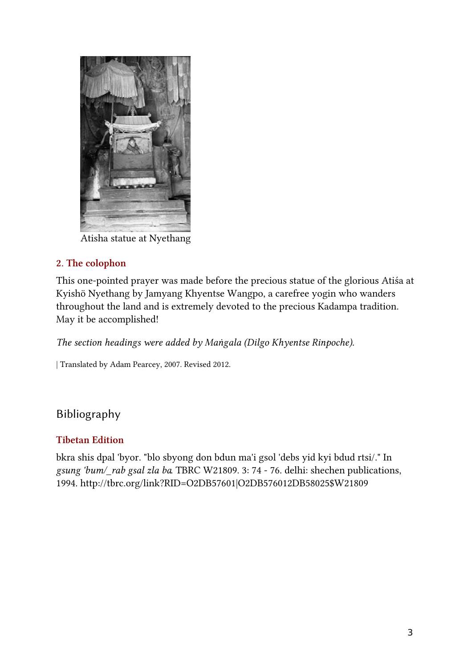

Atisha statue at Nyethang

# 2. The colophon

This one-pointed prayer was made before the precious statue of the glorious Atiśa at Kyishö Nyethang by Jamyang Khyentse Wangpo, a carefree yogin who wanders throughout the land and is extremely devoted to the precious Kadampa tradition. May it be accomplished!

The section headings were added by Maṅgala (Dilgo Khyentse Rinpoche).

| Translated by Adam Pearcey, 2007. Revised 2012.

# Bibliography

## Tibetan Edition

bkra shis dpal 'byor. "blo sbyong don bdun ma'i gsol 'debs yid kyi bdud rtsi/." In gsung 'bum/\_rab gsal zla ba. TBRC W21809. 3: 74 - 76. delhi: shechen publications, 1994. http://tbrc.org/link?RID=O2DB57601|O2DB576012DB58025\$W21809